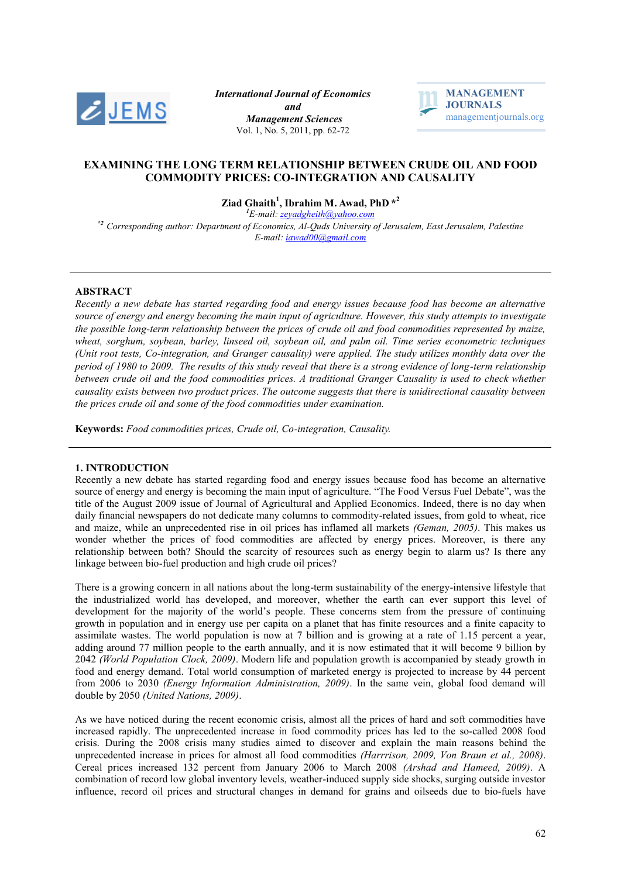

*International Journal of Economics and Management Sciences* Vol. 1, No. 5, 2011, pp. 62-72



# **EXAMINING THE LONG TERM RELATIONSHIP BETWEEN CRUDE OIL AND FOOD COMMODITY PRICES: CO-INTEGRATION AND CAUSALITY**

**Ziad Ghaith<sup>1</sup> , Ibrahim M. Awad, PhD \* 2**

*<sup>1</sup>E-mail: zeyadgheith@yahoo.com \*2 Corresponding author: Department of Economics, Al-Quds University of Jerusalem, East Jerusalem, Palestine E-mail: [iawad00@gmail.com](mailto:iawad00@gmail.com)*

# **ABSTRACT**

*Recently a new debate has started regarding food and energy issues because food has become an alternative source of energy and energy becoming the main input of agriculture. However, this study attempts to investigate the possible long-term relationship between the prices of crude oil and food commodities represented by maize, wheat, sorghum, soybean, barley, linseed oil, soybean oil, and palm oil. Time series econometric techniques (Unit root tests, Co-integration, and Granger causality) were applied. The study utilizes monthly data over the period of 1980 to 2009. The results of this study reveal that there is a strong evidence of long-term relationship between crude oil and the food commodities prices. A traditional Granger Causality is used to check whether causality exists between two product prices. The outcome suggests that there is unidirectional causality between the prices crude oil and some of the food commodities under examination.* 

**Keywords:** *Food commodities prices, Crude oil, Co-integration, Causality.*

# **1. INTRODUCTION**

Recently a new debate has started regarding food and energy issues because food has become an alternative source of energy and energy is becoming the main input of agriculture. "The Food Versus Fuel Debate", was the title of the August 2009 issue of Journal of Agricultural and Applied Economics. Indeed, there is no day when daily financial newspapers do not dedicate many columns to commodity-related issues, from gold to wheat, rice and maize, while an unprecedented rise in oil prices has inflamed all markets *(Geman, 2005)*. This makes us wonder whether the prices of food commodities are affected by energy prices. Moreover, is there any relationship between both? Should the scarcity of resources such as energy begin to alarm us? Is there any linkage between bio-fuel production and high crude oil prices?

There is a growing concern in all nations about the long-term sustainability of the energy-intensive lifestyle that the industrialized world has developed, and moreover, whether the earth can ever support this level of development for the majority of the world's people. These concerns stem from the pressure of continuing growth in population and in energy use per capita on a planet that has finite resources and a finite capacity to assimilate wastes. The world population is now at 7 billion and is growing at a rate of 1.15 percent a year, adding around 77 million people to the earth annually, and it is now estimated that it will become 9 billion by 2042 *(World Population Clock, 2009)*. Modern life and population growth is accompanied by steady growth in food and energy demand. Total world consumption of marketed energy is projected to increase by 44 percent from 2006 to 2030 *(Energy Information Administration, 2009)*. In the same vein, global food demand will double by 2050 *(United Nations, 2009)*.

As we have noticed during the recent economic crisis, almost all the prices of hard and soft commodities have increased rapidly. The unprecedented increase in food commodity prices has led to the so-called 2008 food crisis. During the 2008 crisis many studies aimed to discover and explain the main reasons behind the unprecedented increase in prices for almost all food commodities *(Harrrison, 2009, Von Braun et al., 2008)*. Cereal prices increased 132 percent from January 2006 to March 2008 *(Arshad and Hameed, 2009)*. A combination of record low global inventory levels, weather-induced supply side shocks, surging outside investor influence, record oil prices and structural changes in demand for grains and oilseeds due to bio-fuels have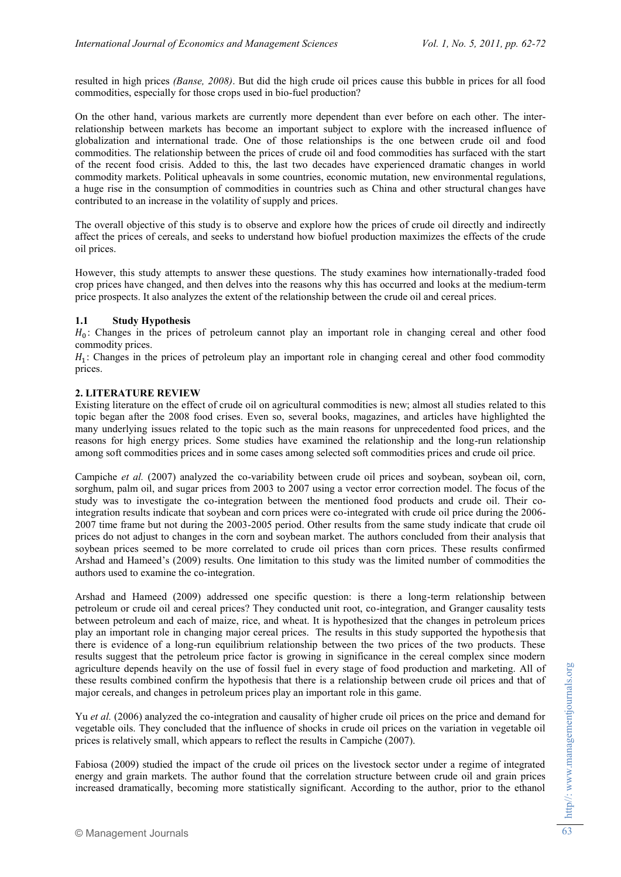resulted in high prices *(Banse, 2008)*. But did the high crude oil prices cause this bubble in prices for all food commodities, especially for those crops used in bio-fuel production?

On the other hand, various markets are currently more dependent than ever before on each other. The interrelationship between markets has become an important subject to explore with the increased influence of globalization and international trade. One of those relationships is the one between crude oil and food commodities. The relationship between the prices of crude oil and food commodities has surfaced with the start of the recent food crisis. Added to this, the last two decades have experienced dramatic changes in world commodity markets. Political upheavals in some countries, economic mutation, new environmental regulations, a huge rise in the consumption of commodities in countries such as China and other structural changes have contributed to an increase in the volatility of supply and prices.

The overall objective of this study is to observe and explore how the prices of crude oil directly and indirectly affect the prices of cereals, and seeks to understand how biofuel production maximizes the effects of the crude oil prices.

However, this study attempts to answer these questions. The study examines how internationally-traded food crop prices have changed, and then delves into the reasons why this has occurred and looks at the medium-term price prospects. It also analyzes the extent of the relationship between the crude oil and cereal prices.

# **1.1 Study Hypothesis**

 $H_0$ : Changes in the prices of petroleum cannot play an important role in changing cereal and other food commodity prices.

 $H_1$ : Changes in the prices of petroleum play an important role in changing cereal and other food commodity prices.

# **2. LITERATURE REVIEW**

Existing literature on the effect of crude oil on agricultural commodities is new; almost all studies related to this topic began after the 2008 food crises. Even so, several books, magazines, and articles have highlighted the many underlying issues related to the topic such as the main reasons for unprecedented food prices, and the reasons for high energy prices. Some studies have examined the relationship and the long-run relationship among soft commodities prices and in some cases among selected soft commodities prices and crude oil price.

Campiche *et al.* (2007) analyzed the co-variability between crude oil prices and soybean, soybean oil, corn, sorghum, palm oil, and sugar prices from 2003 to 2007 using a vector error correction model. The focus of the study was to investigate the co-integration between the mentioned food products and crude oil. Their cointegration results indicate that soybean and corn prices were co-integrated with crude oil price during the 2006- 2007 time frame but not during the 2003-2005 period. Other results from the same study indicate that crude oil prices do not adjust to changes in the corn and soybean market. The authors concluded from their analysis that soybean prices seemed to be more correlated to crude oil prices than corn prices. These results confirmed Arshad and Hameed's (2009) results. One limitation to this study was the limited number of commodities the authors used to examine the co-integration.

Arshad and Hameed (2009) addressed one specific question: is there a long-term relationship between petroleum or crude oil and cereal prices? They conducted unit root, co-integration, and Granger causality tests between petroleum and each of maize, rice, and wheat. It is hypothesized that the changes in petroleum prices play an important role in changing major cereal prices. The results in this study supported the hypothesis that there is evidence of a long-run equilibrium relationship between the two prices of the two products. These results suggest that the petroleum price factor is growing in significance in the cereal complex since modern agriculture depends heavily on the use of fossil fuel in every stage of food production and marketing. All of these results combined confirm the hypothesis that there is a relationship between crude oil prices and that of major cereals, and changes in petroleum prices play an important role in this game.

Yu *et al.* (2006) analyzed the co-integration and causality of higher crude oil prices on the price and demand for vegetable oils. They concluded that the influence of shocks in crude oil prices on the variation in vegetable oil prices is relatively small, which appears to reflect the results in Campiche (2007).

Fabiosa (2009) studied the impact of the crude oil prices on the livestock sector under a regime of integrated energy and grain markets. The author found that the correlation structure between crude oil and grain prices increased dramatically, becoming more statistically significant. According to the author, prior to the ethanol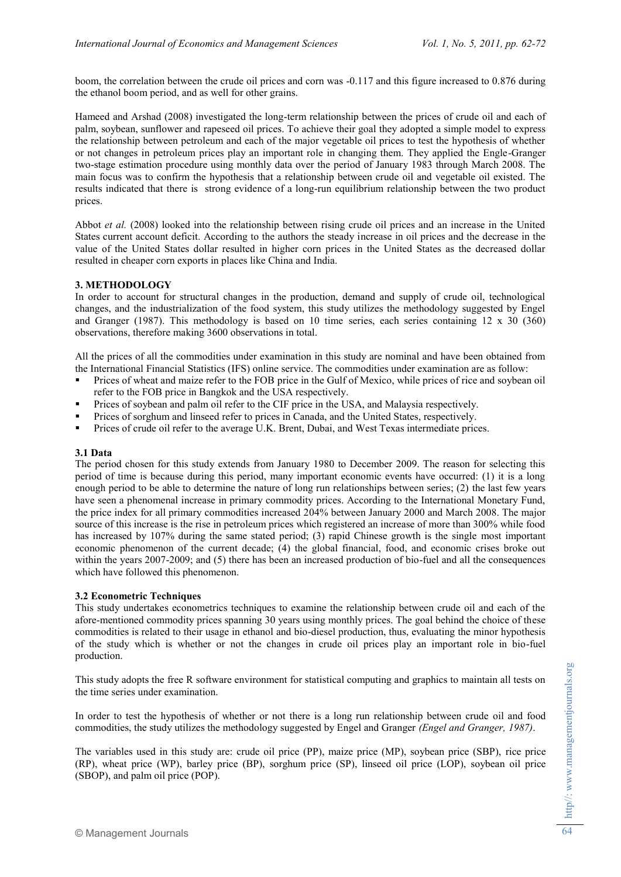boom, the correlation between the crude oil prices and corn was -0.117 and this figure increased to 0.876 during the ethanol boom period, and as well for other grains.

Hameed and Arshad (2008) investigated the long-term relationship between the prices of crude oil and each of palm, soybean, sunflower and rapeseed oil prices. To achieve their goal they adopted a simple model to express the relationship between petroleum and each of the major vegetable oil prices to test the hypothesis of whether or not changes in petroleum prices play an important role in changing them. They applied the Engle-Granger two-stage estimation procedure using monthly data over the period of January 1983 through March 2008. The main focus was to confirm the hypothesis that a relationship between crude oil and vegetable oil existed. The results indicated that there is strong evidence of a long-run equilibrium relationship between the two product prices.

Abbot *et al.* (2008) looked into the relationship between rising crude oil prices and an increase in the United States current account deficit. According to the authors the steady increase in oil prices and the decrease in the value of the United States dollar resulted in higher corn prices in the United States as the decreased dollar resulted in cheaper corn exports in places like China and India.

# **3. METHODOLOGY**

In order to account for structural changes in the production, demand and supply of crude oil, technological changes, and the industrialization of the food system, this study utilizes the methodology suggested by Engel and Granger (1987). This methodology is based on 10 time series, each series containing 12 x 30 (360) observations, therefore making 3600 observations in total.

All the prices of all the commodities under examination in this study are nominal and have been obtained from the International Financial Statistics (IFS) online service. The commodities under examination are as follow:

- Prices of wheat and maize refer to the FOB price in the Gulf of Mexico, while prices of rice and soybean oil refer to the FOB price in Bangkok and the USA respectively.
- Prices of soybean and palm oil refer to the CIF price in the USA, and Malaysia respectively.
- Prices of sorghum and linseed refer to prices in Canada, and the United States, respectively.
- Prices of crude oil refer to the average U.K. Brent, Dubai, and West Texas intermediate prices.

# **3.1 Data**

The period chosen for this study extends from January 1980 to December 2009. The reason for selecting this period of time is because during this period, many important economic events have occurred: (1) it is a long enough period to be able to determine the nature of long run relationships between series; (2) the last few years have seen a phenomenal increase in primary commodity prices. According to the International Monetary Fund, the price index for all primary commodities increased 204% between January 2000 and March 2008. The major source of this increase is the rise in petroleum prices which registered an increase of more than 300% while food has increased by 107% during the same stated period; (3) rapid Chinese growth is the single most important economic phenomenon of the current decade; (4) the global financial, food, and economic crises broke out within the years 2007-2009; and (5) there has been an increased production of bio-fuel and all the consequences which have followed this phenomenon.

# **3.2 Econometric Techniques**

This study undertakes econometrics techniques to examine the relationship between crude oil and each of the afore-mentioned commodity prices spanning 30 years using monthly prices. The goal behind the choice of these commodities is related to their usage in ethanol and bio-diesel production, thus, evaluating the minor hypothesis of the study which is whether or not the changes in crude oil prices play an important role in bio-fuel production.

This study adopts the free R software environment for statistical computing and graphics to maintain all tests on the time series under examination.

In order to test the hypothesis of whether or not there is a long run relationship between crude oil and food commodities, the study utilizes the methodology suggested by Engel and Granger *(Engel and Granger, 1987)*.

The variables used in this study are: crude oil price (PP), maize price (MP), soybean price (SBP), rice price (RP), wheat price (WP), barley price (BP), sorghum price (SP), linseed oil price (LOP), soybean oil price (SBOP), and palm oil price (POP).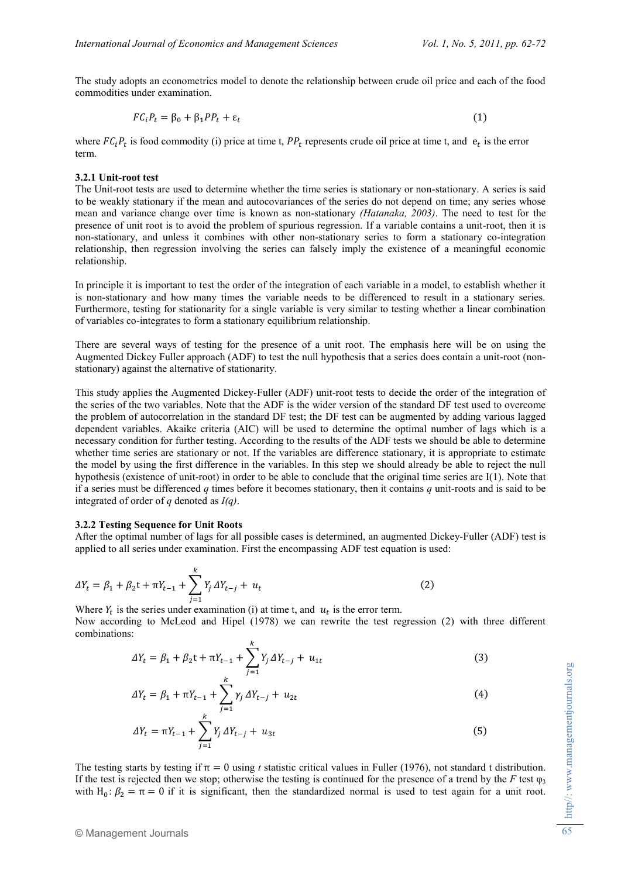The study adopts an econometrics model to denote the relationship between crude oil price and each of the food commodities under examination.

$$
FC_iP_t = \beta_0 + \beta_1 PP_t + \varepsilon_t \tag{1}
$$

where  $FC_iP_t$  is food commodity (i) price at time t,  $PP_t$  represents crude oil price at time t, and  $e_t$  is the error term.

### **3.2.1 Unit-root test**

The Unit-root tests are used to determine whether the time series is stationary or non-stationary. A series is said to be weakly stationary if the mean and autocovariances of the series do not depend on time; any series whose mean and variance change over time is known as non-stationary *(Hatanaka, 2003)*. The need to test for the presence of unit root is to avoid the problem of spurious regression. If a variable contains a unit-root, then it is non-stationary, and unless it combines with other non-stationary series to form a stationary co-integration relationship, then regression involving the series can falsely imply the existence of a meaningful economic relationship.

In principle it is important to test the order of the integration of each variable in a model, to establish whether it is non-stationary and how many times the variable needs to be differenced to result in a stationary series. Furthermore, testing for stationarity for a single variable is very similar to testing whether a linear combination of variables co-integrates to form a stationary equilibrium relationship.

There are several ways of testing for the presence of a unit root. The emphasis here will be on using the Augmented Dickey Fuller approach (ADF) to test the null hypothesis that a series does contain a unit-root (nonstationary) against the alternative of stationarity.

This study applies the Augmented Dickey-Fuller (ADF) unit-root tests to decide the order of the integration of the series of the two variables. Note that the ADF is the wider version of the standard DF test used to overcome the problem of autocorrelation in the standard DF test; the DF test can be augmented by adding various lagged dependent variables. Akaike criteria (AIC) will be used to determine the optimal number of lags which is a necessary condition for further testing. According to the results of the ADF tests we should be able to determine whether time series are stationary or not. If the variables are difference stationary, it is appropriate to estimate the model by using the first difference in the variables. In this step we should already be able to reject the null hypothesis (existence of unit-root) in order to be able to conclude that the original time series are I(1). Note that if a series must be differenced *q* times before it becomes stationary, then it contains *q* unit-roots and is said to be integrated of order of *q* denoted as *I(q)*.

#### **3.2.2 Testing Sequence for Unit Roots**

After the optimal number of lags for all possible cases is determined, an augmented Dickey-Fuller (ADF) test is applied to all series under examination. First the encompassing ADF test equation is used:

$$
\Delta Y_t = \beta_1 + \beta_2 t + \pi Y_{t-1} + \sum_{j=1}^k Y_j \Delta Y_{t-j} + u_t
$$
\n(2)

Where  $Y_t$  is the series under examination (i) at time t, and  $u_t$  is the error term. Now according to McLeod and Hipel (1978) we can rewrite the test regression (2) with three different combinations:

$$
\Delta Y_t = \beta_1 + \beta_2 t + \pi Y_{t-1} + \sum_{j=1}^k Y_j \Delta Y_{t-j} + u_{1t}
$$
\n(3)

$$
\Delta Y_t = \beta_1 + \pi Y_{t-1} + \sum_{j=1}^k \gamma_j \Delta Y_{t-j} + u_{2t} \tag{4}
$$

$$
\Delta Y_t = \pi Y_{t-1} + \sum_{j=1}^{\kappa} Y_j \, \Delta Y_{t-j} + u_{3t} \tag{5}
$$

The testing starts by testing if  $\pi = 0$  using *t* statistic critical values in Fuller (1976), not standard t distribution. If the test is rejected then we stop; otherwise the testing is continued for the presence of a trend by the  $F$  test  $\varphi_3$ with H<sub>0</sub>:  $\beta_2 = \pi = 0$  if it is significant, then the standardized normal is used to test again for a unit root.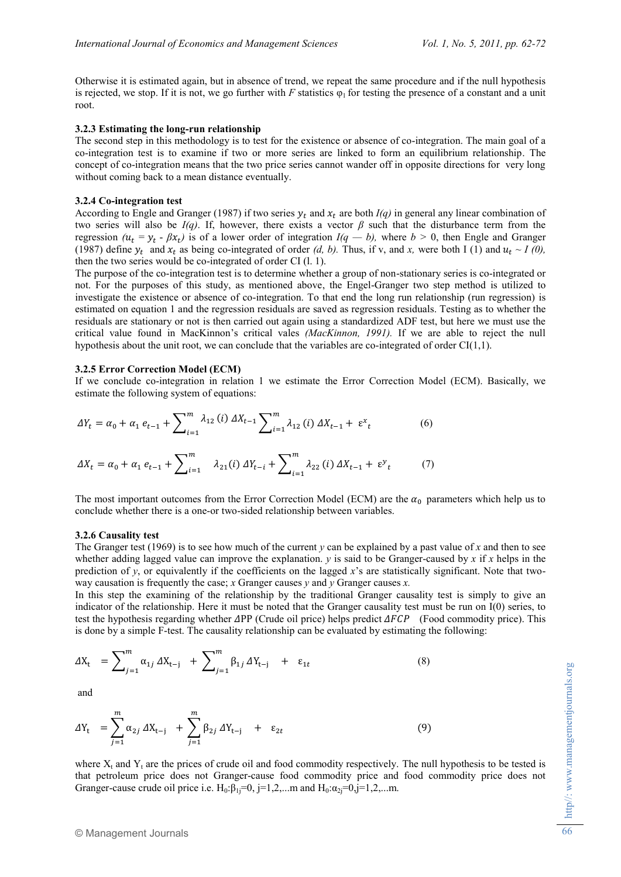Otherwise it is estimated again, but in absence of trend, we repeat the same procedure and if the null hypothesis is rejected, we stop. If it is not, we go further with *F* statistics  $\varphi_1$  for testing the presence of a constant and a unit root.

#### **3.2.3 Estimating the long-run relationship**

The second step in this methodology is to test for the existence or absence of co-integration. The main goal of a co-integration test is to examine if two or more series are linked to form an equilibrium relationship. The concept of co-integration means that the two price series cannot wander off in opposite directions for very long without coming back to a mean distance eventually.

### **3.2.4 Co-integration test**

According to Engle and Granger (1987) if two series  $y_t$  and  $x_t$  are both *I(q)* in general any linear combination of two series will also be  $I(q)$ . If, however, there exists a vector  $\beta$  such that the disturbance term from the regression  $(u_t = y_t - βx_t)$  is of a lower order of integration  $I(q - b)$ , where  $b > 0$ , then Engle and Granger (1987) define  $y_t$  and  $x_t$  as being co-integrated of order *(d, b)*. Thus, if v, and x, were both I (1) and  $u_t \sim I$  *(0),* then the two series would be co-integrated of order CI (l. 1).

The purpose of the co-integration test is to determine whether a group of non-stationary series is co-integrated or not. For the purposes of this study, as mentioned above, the Engel-Granger two step method is utilized to investigate the existence or absence of co-integration. To that end the long run relationship (run regression) is estimated on equation 1 and the regression residuals are saved as regression residuals. Testing as to whether the residuals are stationary or not is then carried out again using a standardized ADF test, but here we must use the critical value found in MacKinnon's critical vales *(MacKinnon, 1991).* If we are able to reject the null hypothesis about the unit root, we can conclude that the variables are co-integrated of order  $CI(1,1)$ .

### **3.2.5 Error Correction Model (ECM)**

If we conclude co-integration in relation 1 we estimate the Error Correction Model (ECM). Basically, we estimate the following system of equations:

$$
\Delta Y_t = \alpha_0 + \alpha_1 e_{t-1} + \sum_{i=1}^m \lambda_{12}(i) \Delta X_{t-1} \sum_{i=1}^m \lambda_{12}(i) \Delta X_{t-1} + \varepsilon^x_t
$$
(6)  

$$
\Delta X_t = \alpha_0 + \alpha_1 e_{t-1} + \sum_{i=1}^m \lambda_{21}(i) \Delta Y_{t-i} + \sum_{i=1}^m \lambda_{22}(i) \Delta X_{t-1} + \varepsilon^y_t
$$
(7)

The most important outcomes from the Error Correction Model (ECM) are the  $\alpha_0$  parameters which help us to conclude whether there is a one-or two-sided relationship between variables.

#### **3.2.6 Causality test**

The Granger test (1969) is to see how much of the current *y* can be explained by a past value of *x* and then to see whether adding lagged value can improve the explanation.  $\nu$  is said to be Granger-caused by  $x$  if  $x$  helps in the prediction of *y*, or equivalently if the coefficients on the lagged *x*'s are statistically significant. Note that twoway causation is frequently the case; *x* Granger causes *y* and *y* Granger causes *x.* 

In this step the examining of the relationship by the traditional Granger causality test is simply to give an indicator of the relationship. Here it must be noted that the Granger causality test must be run on I(0) series, to test the hypothesis regarding whether  $\Delta PP$  (Crude oil price) helps predict  $\Delta FCP$  (Food commodity price). This is done by a simple F-test. The causality relationship can be evaluated by estimating the following:

$$
\Delta X_{t} = \sum_{j=1}^{m} \alpha_{1j} \Delta X_{t-j} + \sum_{j=1}^{m} \beta_{1j} \Delta Y_{t-j} + \varepsilon_{1t} \tag{8}
$$

and

$$
\Delta Y_{t} = \sum_{j=1}^{m} \alpha_{2j} \, \Delta X_{t-j} + \sum_{j=1}^{m} \beta_{2j} \, \Delta Y_{t-j} + \varepsilon_{2t} \tag{9}
$$

where  $X_t$  and  $Y_t$  are the prices of crude oil and food commodity respectively. The null hypothesis to be tested is that petroleum price does not Granger-cause food commodity price and food commodity price does not Granger-cause crude oil price i.e.  $H_0: \beta_1 = 0$ , j=1,2,...m and  $H_0: \alpha_2 = 0$ , j=1,2,...m.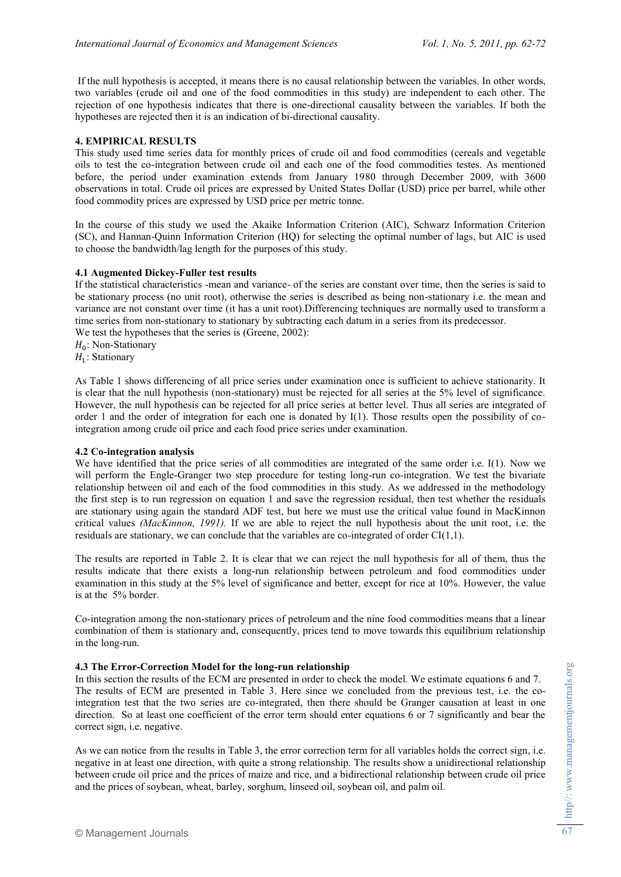If the null hypothesis is accepted, it means there is no causal relationship between the variables. In other words, two variables (crude oil and one of the food commodities in this study) are independent to each other. The rejection of one hypothesis indicates that there is one-directional causality between the variables. If both the hypotheses are rejected then it is an indication of bi-directional causality.

## **4. EMPIRICAL RESULTS**

This study used time series data for monthly prices of crude oil and food commodities (cereals and vegetable oils to test the co-integration between crude oil and each one of the food commodities testes. As mentioned before, the period under examination extends from January 1980 through December 2009, with 3600 observations in total. Crude oil prices are expressed by United States Dollar (USD) price per barrel, while other food commodity prices are expressed by USD price per metric tonne.

In the course of this study we used the Akaike Information Criterion (AIC), Schwarz Information Criterion (SC), and Hannan-Quinn Information Criterion (HQ) for selecting the optimal number of lags, but AIC is used to choose the bandwidth/lag length for the purposes of this study.

## **4.1 Augmented Dickey-Fuller test results**

If the statistical characteristics -mean and variance- of the series are constant over time, then the series is said to be stationary process (no unit root), otherwise the series is described as being non-stationary i.e. the mean and variance are not constant over time (it has a unit root).Differencing techniques are normally used to transform a time series from non-stationary to stationary by subtracting each datum in a series from its predecessor. We test the hypotheses that the series is (Greene, 2002):

 $H_0$ : Non-Stationary

 $H_1$ : Stationary

As Table 1 shows differencing of all price series under examination once is sufficient to achieve stationarity. It is clear that the null hypothesis (non-stationary) must be rejected for all series at the 5% level of significance. However, the null hypothesis can be rejected for all price series at better level. Thus all series are integrated of order 1 and the order of integration for each one is donated by  $I(1)$ . Those results open the possibility of cointegration among crude oil price and each food price series under examination.

### **4.2 Co-integration analysis**

We have identified that the price series of all commodities are integrated of the same order i.e. I(1). Now we will perform the Engle-Granger two step procedure for testing long-run co-integration. We test the bivariate relationship between oil and each of the food commodities in this study. As we addressed in the methodology the first step is to run regression on equation 1 and save the regression residual, then test whether the residuals are stationary using again the standard ADF test, but here we must use the critical value found in MacKinnon critical values *(MacKinnon, 1991).* If we are able to reject the null hypothesis about the unit root, i.e. the residuals are stationary, we can conclude that the variables are co-integrated of order CI(1,1).

The results are reported in Table 2. It is clear that we can reject the null hypothesis for all of them, thus the results indicate that there exists a long-run relationship between petroleum and food commodities under examination in this study at the 5% level of significance and better, except for rice at 10%. However, the value is at the 5% border.

Co-integration among the non-stationary prices of petroleum and the nine food commodities means that a linear combination of them is stationary and, consequently, prices tend to move towards this equilibrium relationship in the long-run.

### **4.3 The Error-Correction Model for the long-run relationship**

In this section the results of the ECM are presented in order to check the model. We estimate equations 6 and 7. The results of ECM are presented in Table 3. Here since we concluded from the previous test, i.e. the cointegration test that the two series are co-integrated, then there should be Granger causation at least in one direction. So at least one coefficient of the error term should enter equations 6 or 7 significantly and bear the correct sign, i.e. negative.

As we can notice from the results in Table 3, the error correction term for all variables holds the correct sign, i.e. negative in at least one direction, with quite a strong relationship. The results show a unidirectional relationship between crude oil price and the prices of maize and rice, and a bidirectional relationship between crude oil price and the prices of soybean, wheat, barley, sorghum, linseed oil, soybean oil, and palm oil.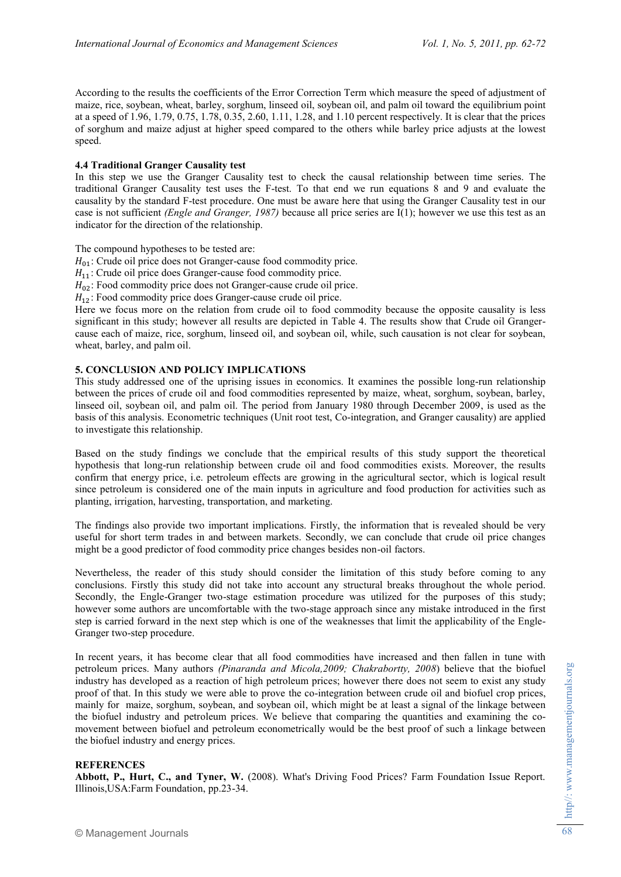According to the results the coefficients of the Error Correction Term which measure the speed of adjustment of maize, rice, soybean, wheat, barley, sorghum, linseed oil, soybean oil, and palm oil toward the equilibrium point at a speed of 1.96, 1.79, 0.75, 1.78, 0.35, 2.60, 1.11, 1.28, and 1.10 percent respectively. It is clear that the prices of sorghum and maize adjust at higher speed compared to the others while barley price adjusts at the lowest speed.

## **4.4 Traditional Granger Causality test**

In this step we use the Granger Causality test to check the causal relationship between time series. The traditional Granger Causality test uses the F-test. To that end we run equations 8 and 9 and evaluate the causality by the standard F-test procedure. One must be aware here that using the Granger Causality test in our case is not sufficient *(Engle and Granger, 1987)* because all price series are I(1); however we use this test as an indicator for the direction of the relationship.

The compound hypotheses to be tested are:

 $H_{01}$ : Crude oil price does not Granger-cause food commodity price.

- $H_{11}$ : Crude oil price does Granger-cause food commodity price.
- $H_{02}$ : Food commodity price does not Granger-cause crude oil price.

 $H_{12}$ : Food commodity price does Granger-cause crude oil price.

Here we focus more on the relation from crude oil to food commodity because the opposite causality is less significant in this study; however all results are depicted in Table 4. The results show that Crude oil Grangercause each of maize, rice, sorghum, linseed oil, and soybean oil, while, such causation is not clear for soybean, wheat, barley, and palm oil.

# **5. CONCLUSION AND POLICY IMPLICATIONS**

This study addressed one of the uprising issues in economics. It examines the possible long-run relationship between the prices of crude oil and food commodities represented by maize, wheat, sorghum, soybean, barley, linseed oil, soybean oil, and palm oil. The period from January 1980 through December 2009, is used as the basis of this analysis. Econometric techniques (Unit root test, Co-integration, and Granger causality) are applied to investigate this relationship.

Based on the study findings we conclude that the empirical results of this study support the theoretical hypothesis that long-run relationship between crude oil and food commodities exists. Moreover, the results confirm that energy price, i.e. petroleum effects are growing in the agricultural sector, which is logical result since petroleum is considered one of the main inputs in agriculture and food production for activities such as planting, irrigation, harvesting, transportation, and marketing.

The findings also provide two important implications. Firstly, the information that is revealed should be very useful for short term trades in and between markets. Secondly, we can conclude that crude oil price changes might be a good predictor of food commodity price changes besides non-oil factors.

Nevertheless, the reader of this study should consider the limitation of this study before coming to any conclusions. Firstly this study did not take into account any structural breaks throughout the whole period. Secondly, the Engle-Granger two-stage estimation procedure was utilized for the purposes of this study; however some authors are uncomfortable with the two-stage approach since any mistake introduced in the first step is carried forward in the next step which is one of the weaknesses that limit the applicability of the Engle-Granger two-step procedure.

In recent years, it has become clear that all food commodities have increased and then fallen in tune with petroleum prices. Many authors *(Pinaranda and Micola,2009; Chakrabortty, 2008*) believe that the biofuel industry has developed as a reaction of high petroleum prices; however there does not seem to exist any study proof of that. In this study we were able to prove the co-integration between crude oil and biofuel crop prices, mainly for maize, sorghum, soybean, and soybean oil, which might be at least a signal of the linkage between the biofuel industry and petroleum prices. We believe that comparing the quantities and examining the comovement between biofuel and petroleum econometrically would be the best proof of such a linkage between the biofuel industry and energy prices.

### **REFERENCES**

**Abbott, P., Hurt, C., and Tyner, W.** (2008). What's Driving Food Prices? Farm Foundation Issue Report. Illinois,USA:Farm Foundation, pp.23-34.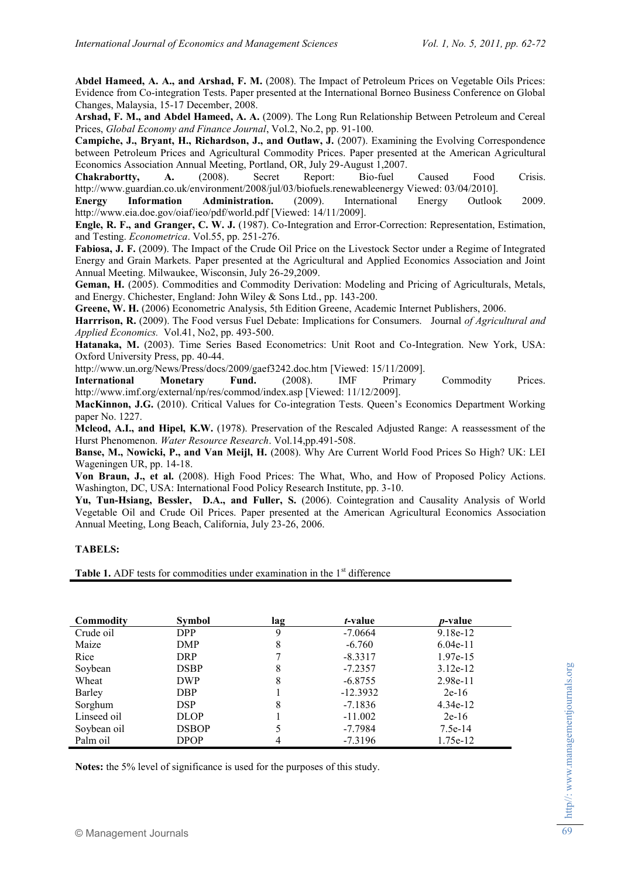**Abdel Hameed, A. A., and Arshad, F. M.** (2008). The Impact of Petroleum Prices on Vegetable Oils Prices: Evidence from Co-integration Tests. Paper presented at the International Borneo Business Conference on Global Changes, Malaysia, 15-17 December, 2008.

**Arshad, F. M., and Abdel Hameed, A. A.** (2009). The Long Run Relationship Between Petroleum and Cereal Prices, *Global Economy and Finance Journal*, Vol.2, No.2, pp. 91-100.

**Campiche, J., Bryant, H., Richardson, J., and Outlaw, J.** (2007). Examining the Evolving Correspondence between Petroleum Prices and Agricultural Commodity Prices. Paper presented at the American Agricultural Economics Association Annual Meeting, Portland, OR, July 29-August 1,2007.

**Chakrabortty, A.** (2008). Secret Report: Bio-fuel Caused Food Crisis. <http://www.guardian.co.uk/environment/2008/jul/03/biofuels.renewableenergy> Viewed: 03/04/2010].

**Energy Information Administration.** (2009). International Energy Outlook 2009. <http://www.eia.doe.gov/oiaf/ieo/pdf/world.pdf> [Viewed: 14/11/2009].

**Engle, R. F., and Granger, C. W. J.** (1987). Co-Integration and Error-Correction: Representation, Estimation, and Testing. *Econometrica*. Vol.55, pp. 251-276.

**Fabiosa, J. F.** (2009). The Impact of the Crude Oil Price on the Livestock Sector under a Regime of Integrated Energy and Grain Markets. Paper presented at the Agricultural and Applied Economics Association and Joint Annual Meeting. Milwaukee, Wisconsin, July 26-29,2009.

Geman, H. (2005). Commodities and Commodity Derivation: Modeling and Pricing of Agriculturals, Metals, and Energy. Chichester, England: John Wiley & Sons Ltd., pp. 143-200.

**Greene, W. H.** (2006) Econometric Analysis, [5th Edition Greene,](http://www.google.com/search?hl=en&tbm=bks&q=inauthor:%225th+Edition+Greene%22&sa=X&ei=KWDnTfqTOI-0hAeNrY3CCg&ved=0CCoQ9Ag) Academic Internet Publishers, 2006.

**Harrrison, R.** (2009). The Food versus Fuel Debate: Implications for Consumers. Journal *of Agricultural and Applied Economics.* Vol.41, No2, pp. 493-500.

**Hatanaka, M.** (2003). Time Series Based Econometrics: Unit Root and Co-Integration. New York, USA: Oxford University Press, pp. 40-44.

<http://www.un.org/News/Press/docs/2009/gaef3242.doc.htm> [Viewed: 15/11/2009].

**International Monetary Fund.** (2008). IMF Primary Commodity Prices. http://www.imf.org/external/np/res/commod/index.asp [Viewed: 11/12/2009].

**MacKinnon, J.G.** (2010). Critical Values for Co-integration Tests. Queen's Economics Department Working paper No. 1227.

**Mcleod, A.I., and Hipel, K.W.** (1978). Preservation of the Rescaled Adjusted Range: A reassessment of the Hurst Phenomenon. *Water Resource Research*. Vol.14,pp.491-508.

**Banse, M., Nowicki, P., and Van Meijl, H.** (2008). Why Are Current World Food Prices So High? UK: LEI Wageningen UR, pp. 14-18.

**Von Braun, J., et al.** (2008). High Food Prices: The What, Who, and How of Proposed Policy Actions. Washington, DC, USA: International Food Policy Research Institute, pp. 3-10.

**Yu, Tun-Hsiang, Bessler, D.A., and Fuller, S.** (2006). Cointegration and Causality Analysis of World Vegetable Oil and Crude Oil Prices. Paper presented at the American Agricultural Economics Association Annual Meeting, Long Beach, California, July 23-26, 2006.

### **TABELS:**

**Table 1.** ADF tests for commodities under examination in the 1<sup>st</sup> difference

| Commodity   | <b>Symbol</b> | lag | <i>t</i> -value | <i>p</i> -value |
|-------------|---------------|-----|-----------------|-----------------|
| Crude oil   | <b>DPP</b>    | 9   | $-7.0664$       | $9.18e-12$      |
| Maize       | DMP           | 8   | $-6.760$        | $6.04e-11$      |
| Rice        | DRP.          |     | $-8.3317$       | 1.97e-15        |
| Soybean     | <b>DSBP</b>   | 8   | $-7.2357$       | $3.12e-12$      |
| Wheat       | <b>DWP</b>    | 8   | $-6.8755$       | 2.98e-11        |
| Barley      | DBP           |     | $-12.3932$      | $2e-16$         |
| Sorghum     | <b>DSP</b>    | 8   | $-7.1836$       | $4.34e-12$      |
| Linseed oil | DLOP          |     | $-11.002$       | $2e-16$         |
| Soybean oil | <b>DSBOP</b>  |     | $-7.7984$       | $7.5e-14$       |
| Palm oil    | <b>DPOP</b>   | 4   | $-7.3196$       | 1.75e-12        |

**Notes:** the 5% level of significance is used for the purposes of this study.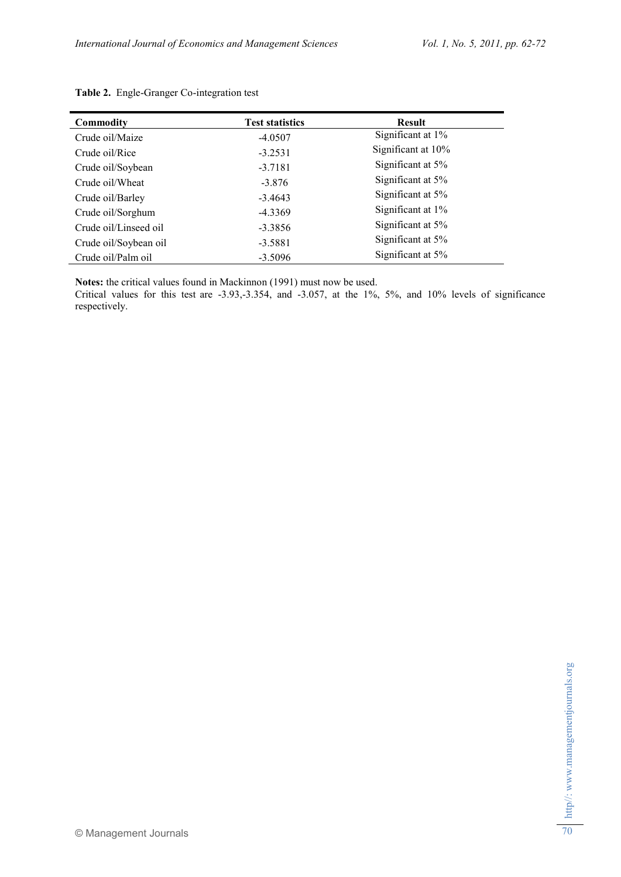| <b>Commodity</b>      | <b>Test statistics</b> | <b>Result</b>      |
|-----------------------|------------------------|--------------------|
| Crude oil/Maize       | $-4.0507$              | Significant at 1%  |
| Crude oil/Rice        | $-3.2531$              | Significant at 10% |
| Crude oil/Soybean     | $-3.7181$              | Significant at 5%  |
| Crude oil/Wheat       | $-3.876$               | Significant at 5%  |
| Crude oil/Barley      | $-3.4643$              | Significant at 5%  |
| Crude oil/Sorghum     | $-4.3369$              | Significant at 1%  |
| Crude oil/Linseed oil | $-3.3856$              | Significant at 5%  |
| Crude oil/Soybean oil | $-3.5881$              | Significant at 5%  |
| Crude oil/Palm oil    | $-3.5096$              | Significant at 5%  |

# **Table 2.** Engle-Granger Co-integration test

**Notes:** the critical values found in Mackinnon (1991) must now be used.

Critical values for this test are -3.93,-3.354, and -3.057, at the 1%, 5%, and 10% levels of significance respectively.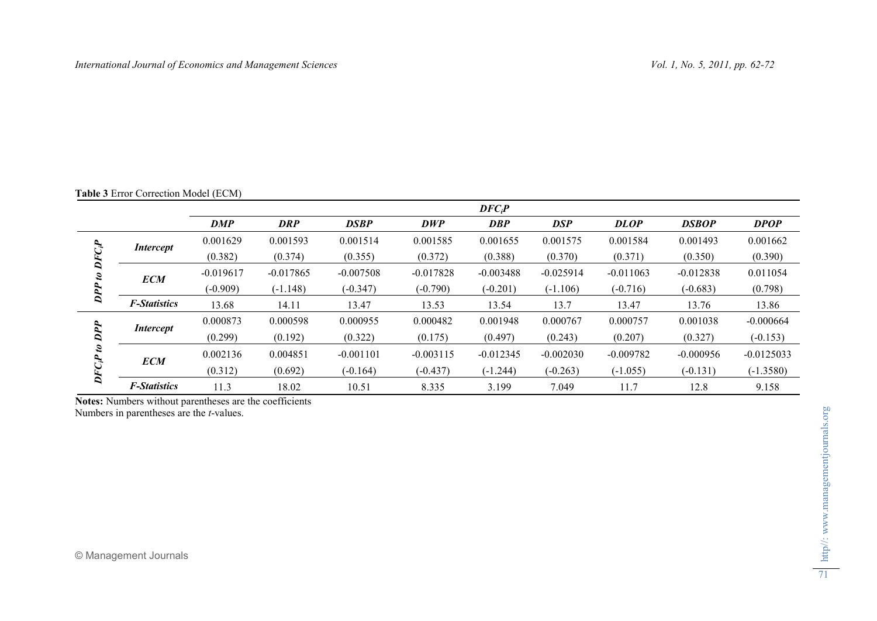# **Table 3** Error Correction Model (ECM)

|                         |                     |             |             |             |             | $DFC_iP$    |             |             |              |              |
|-------------------------|---------------------|-------------|-------------|-------------|-------------|-------------|-------------|-------------|--------------|--------------|
|                         |                     | <b>DMP</b>  | <b>DRP</b>  | <b>DSBP</b> | <b>DWP</b>  | <b>DBP</b>  | <b>DSP</b>  | <b>DLOP</b> | <b>DSBOP</b> | <b>DPOP</b>  |
| ್ರಿ<br>g,<br>DPP        | <i>Intercept</i>    | 0.001629    | 0.001593    | 0.001514    | 0.001585    | 0.001655    | 0.001575    | 0.001584    | 0.001493     | 0.001662     |
|                         |                     | (0.382)     | (0.374)     | (0.355)     | (0.372)     | (0.388)     | (0.370)     | (0.371)     | (0.350)      | (0.390)      |
|                         | <b>ECM</b>          | $-0.019617$ | $-0.017865$ | $-0.007508$ | $-0.017828$ | $-0.003488$ | $-0.025914$ | $-0.011063$ | $-0.012838$  | 0.011054     |
|                         |                     | $(-0.909)$  | $(-1.148)$  | $(-0.347)$  | $(-0.790)$  | $(-0.201)$  | $(-1.106)$  | $(-0.716)$  | $(-0.683)$   | (0.798)      |
|                         | <b>F-Statistics</b> | 13.68       | 14.11       | 13.47       | 13.53       | 13.54       | 13.7        | 13.47       | 13.76        | 13.86        |
| $FC_iP$<br>$\mathbf{a}$ | <i>Intercept</i>    | 0.000873    | 0.000598    | 0.000955    | 0.000482    | 0.001948    | 0.000767    | 0.000757    | 0.001038     | $-0.000664$  |
|                         |                     | (0.299)     | (0.192)     | (0.322)     | (0.175)     | (0.497)     | (0.243)     | (0.207)     | (0.327)      | $(-0.153)$   |
|                         | <b>ECM</b>          | 0.002136    | 0.004851    | $-0.001101$ | $-0.003115$ | $-0.012345$ | $-0.002030$ | $-0.009782$ | $-0.000956$  | $-0.0125033$ |
|                         |                     | (0.312)     | (0.692)     | $(-0.164)$  | $(-0.437)$  | $(-1.244)$  | $(-0.263)$  | $(-1.055)$  | $(-0.131)$   | $(-1.3580)$  |
|                         | <b>F-Statistics</b> | 11.3        | 18.02       | 10.51       | 8.335       | 3.199       | 7.049       | 11.7        | 12.8         | 9.158        |

**Notes:** Numbers without parentheses are the coefficients

Numbers in parentheses are the *t*-values.